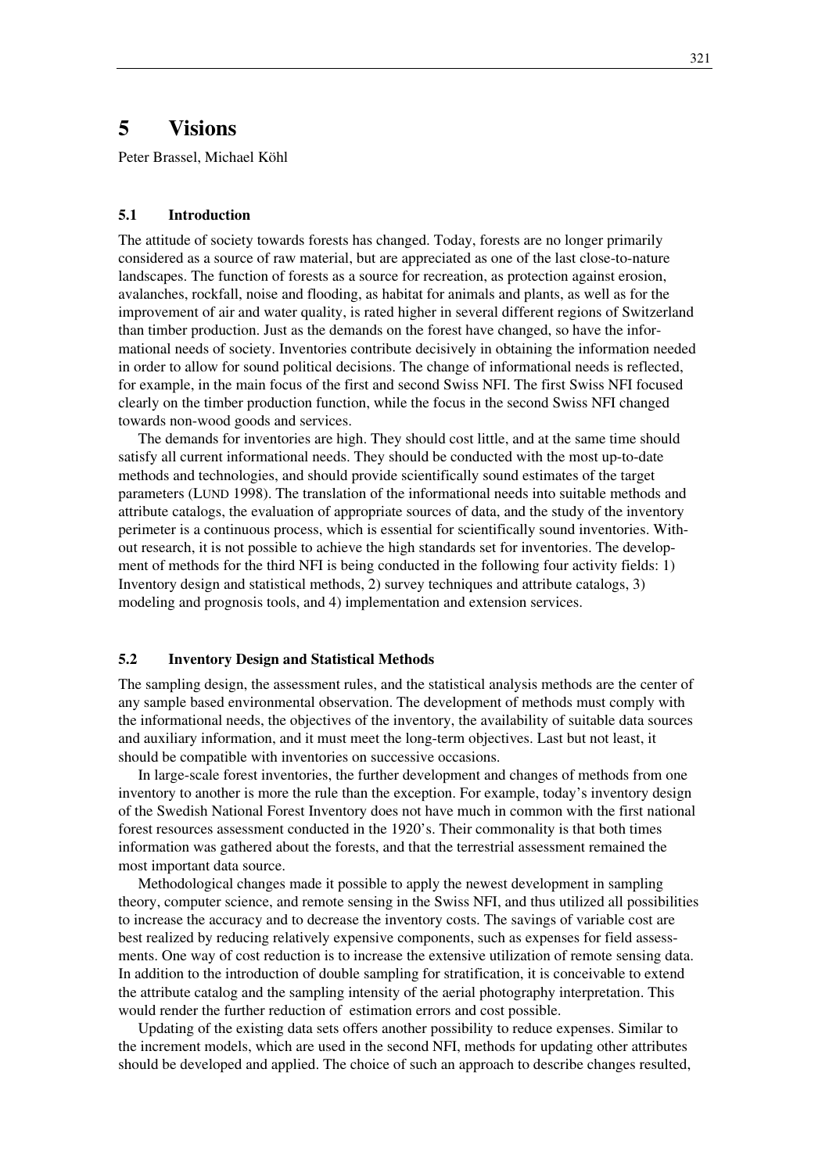# **5 Visions**

Peter Brassel, Michael Köhl

#### **5.1 Introduction**

The attitude of society towards forests has changed. Today, forests are no longer primarily considered as a source of raw material, but are appreciated as one of the last close-to-nature landscapes. The function of forests as a source for recreation, as protection against erosion, avalanches, rockfall, noise and flooding, as habitat for animals and plants, as well as for the improvement of air and water quality, is rated higher in several different regions of Switzerland than timber production. Just as the demands on the forest have changed, so have the informational needs of society. Inventories contribute decisively in obtaining the information needed in order to allow for sound political decisions. The change of informational needs is reflected, for example, in the main focus of the first and second Swiss NFI. The first Swiss NFI focused clearly on the timber production function, while the focus in the second Swiss NFI changed towards non-wood goods and services.

The demands for inventories are high. They should cost little, and at the same time should satisfy all current informational needs. They should be conducted with the most up-to-date methods and technologies, and should provide scientifically sound estimates of the target parameters (LUND 1998). The translation of the informational needs into suitable methods and attribute catalogs, the evaluation of appropriate sources of data, and the study of the inventory perimeter is a continuous process, which is essential for scientifically sound inventories. Without research, it is not possible to achieve the high standards set for inventories. The development of methods for the third NFI is being conducted in the following four activity fields: 1) Inventory design and statistical methods, 2) survey techniques and attribute catalogs, 3) modeling and prognosis tools, and 4) implementation and extension services.

#### **5.2 Inventory Design and Statistical Methods**

The sampling design, the assessment rules, and the statistical analysis methods are the center of any sample based environmental observation. The development of methods must comply with the informational needs, the objectives of the inventory, the availability of suitable data sources and auxiliary information, and it must meet the long-term objectives. Last but not least, it should be compatible with inventories on successive occasions.

In large-scale forest inventories, the further development and changes of methods from one inventory to another is more the rule than the exception. For example, today's inventory design of the Swedish National Forest Inventory does not have much in common with the first national forest resources assessment conducted in the 1920's. Their commonality is that both times information was gathered about the forests, and that the terrestrial assessment remained the most important data source.

Methodological changes made it possible to apply the newest development in sampling theory, computer science, and remote sensing in the Swiss NFI, and thus utilized all possibilities to increase the accuracy and to decrease the inventory costs. The savings of variable cost are best realized by reducing relatively expensive components, such as expenses for field assessments. One way of cost reduction is to increase the extensive utilization of remote sensing data. In addition to the introduction of double sampling for stratification, it is conceivable to extend the attribute catalog and the sampling intensity of the aerial photography interpretation. This would render the further reduction of estimation errors and cost possible.

Updating of the existing data sets offers another possibility to reduce expenses. Similar to the increment models, which are used in the second NFI, methods for updating other attributes should be developed and applied. The choice of such an approach to describe changes resulted,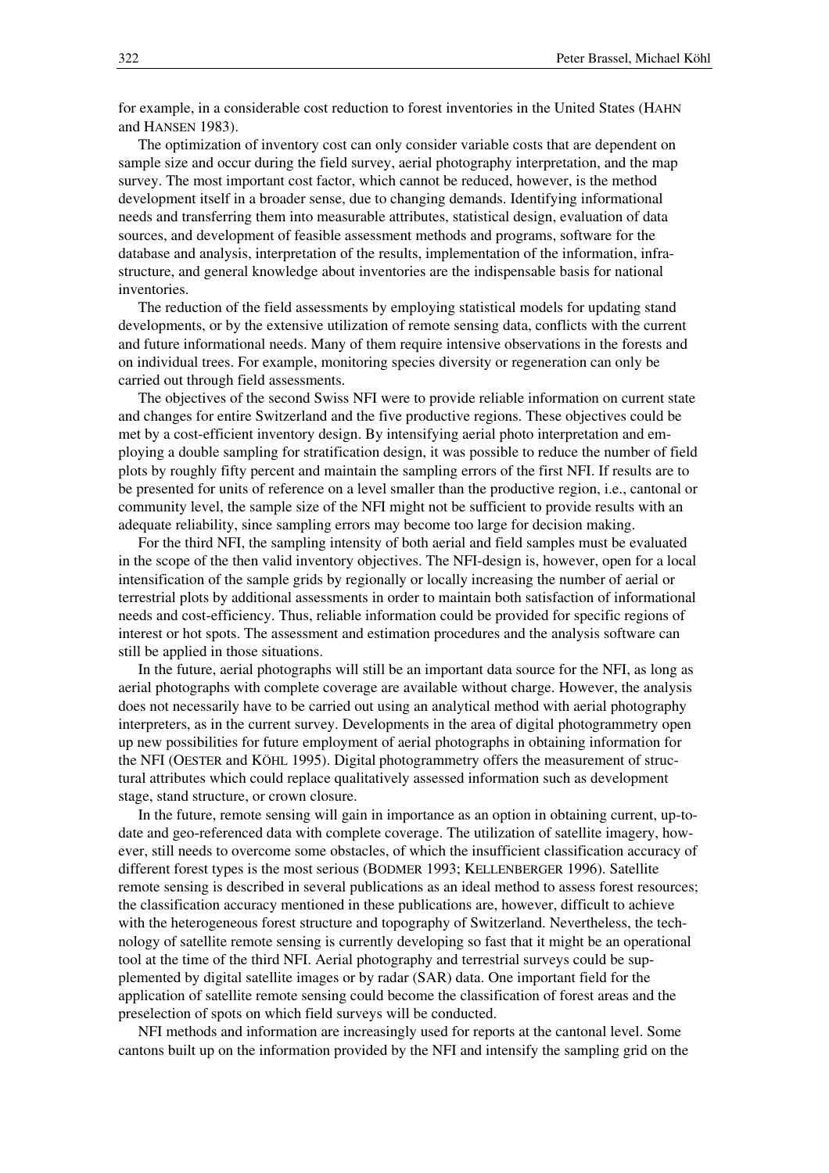for example, in a considerable cost reduction to forest inventories in the United States (HAHN and HANSEN 1983).

The optimization of inventory cost can only consider variable costs that are dependent on sample size and occur during the field survey, aerial photography interpretation, and the map survey. The most important cost factor, which cannot be reduced, however, is the method development itself in a broader sense, due to changing demands. Identifying informational needs and transferring them into measurable attributes, statistical design, evaluation of data sources, and development of feasible assessment methods and programs, software for the database and analysis, interpretation of the results, implementation of the information, infrastructure, and general knowledge about inventories are the indispensable basis for national inventories.

The reduction of the field assessments by employing statistical models for updating stand developments, or by the extensive utilization of remote sensing data, conflicts with the current and future informational needs. Many of them require intensive observations in the forests and on individual trees. For example, monitoring species diversity or regeneration can only be carried out through field assessments.

The objectives of the second Swiss NFI were to provide reliable information on current state and changes for entire Switzerland and the five productive regions. These objectives could be met by a cost-efficient inventory design. By intensifying aerial photo interpretation and employing a double sampling for stratification design, it was possible to reduce the number of field plots by roughly fifty percent and maintain the sampling errors of the first NFI. If results are to be presented for units of reference on a level smaller than the productive region, i.e., cantonal or community level, the sample size of the NFI might not be sufficient to provide results with an adequate reliability, since sampling errors may become too large for decision making.

For the third NFI, the sampling intensity of both aerial and field samples must be evaluated in the scope of the then valid inventory objectives. The NFI-design is, however, open for a local intensification of the sample grids by regionally or locally increasing the number of aerial or terrestrial plots by additional assessments in order to maintain both satisfaction of informational needs and cost-efficiency. Thus, reliable information could be provided for specific regions of interest or hot spots. The assessment and estimation procedures and the analysis software can still be applied in those situations.

In the future, aerial photographs will still be an important data source for the NFI, as long as aerial photographs with complete coverage are available without charge. However, the analysis does not necessarily have to be carried out using an analytical method with aerial photography interpreters, as in the current survey. Developments in the area of digital photogrammetry open up new possibilities for future employment of aerial photographs in obtaining information for the NFI (OESTER and KÖHL 1995). Digital photogrammetry offers the measurement of structural attributes which could replace qualitatively assessed information such as development stage, stand structure, or crown closure.

In the future, remote sensing will gain in importance as an option in obtaining current, up-todate and geo-referenced data with complete coverage. The utilization of satellite imagery, however, still needs to overcome some obstacles, of which the insufficient classification accuracy of different forest types is the most serious (BODMER 1993; KELLENBERGER 1996). Satellite remote sensing is described in several publications as an ideal method to assess forest resources; the classification accuracy mentioned in these publications are, however, difficult to achieve with the heterogeneous forest structure and topography of Switzerland. Nevertheless, the technology of satellite remote sensing is currently developing so fast that it might be an operational tool at the time of the third NFI. Aerial photography and terrestrial surveys could be supplemented by digital satellite images or by radar (SAR) data. One important field for the application of satellite remote sensing could become the classification of forest areas and the preselection of spots on which field surveys will be conducted.

NFI methods and information are increasingly used for reports at the cantonal level. Some cantons built up on the information provided by the NFI and intensify the sampling grid on the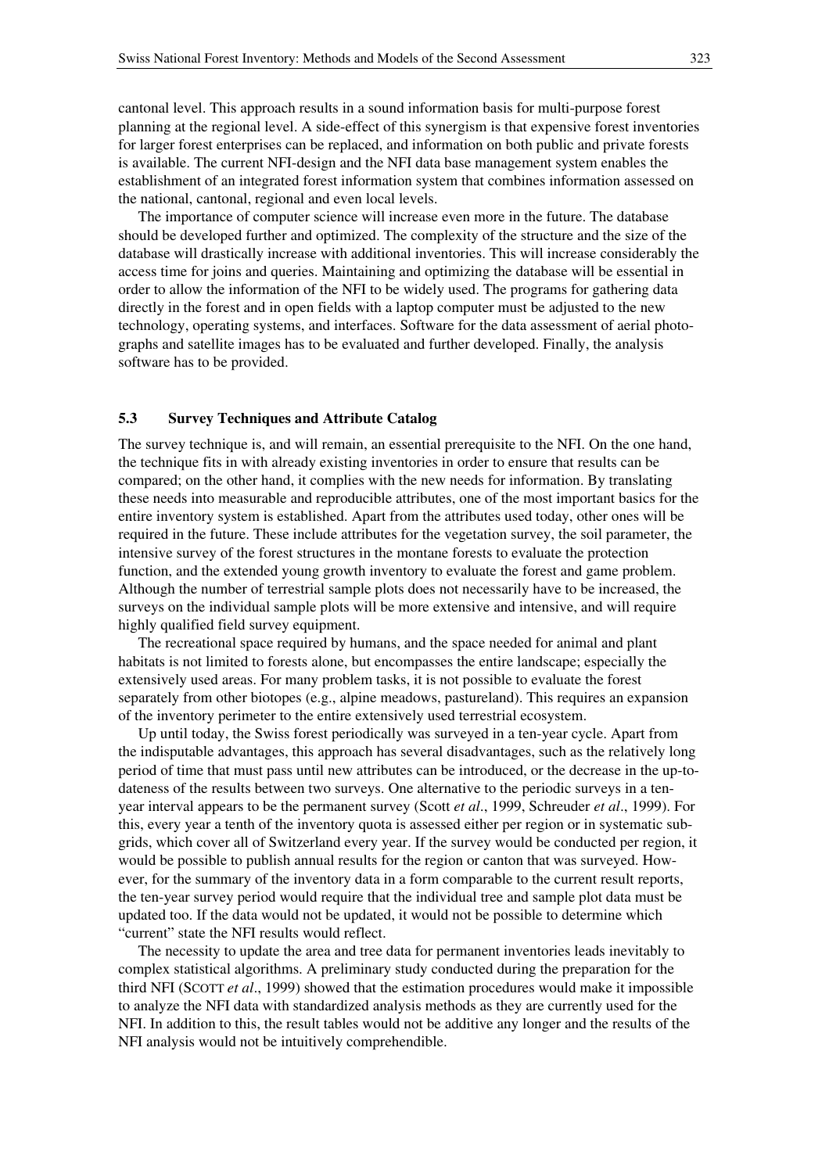cantonal level. This approach results in a sound information basis for multi-purpose forest planning at the regional level. A side-effect of this synergism is that expensive forest inventories for larger forest enterprises can be replaced, and information on both public and private forests is available. The current NFI-design and the NFI data base management system enables the establishment of an integrated forest information system that combines information assessed on the national, cantonal, regional and even local levels.

The importance of computer science will increase even more in the future. The database should be developed further and optimized. The complexity of the structure and the size of the database will drastically increase with additional inventories. This will increase considerably the access time for joins and queries. Maintaining and optimizing the database will be essential in order to allow the information of the NFI to be widely used. The programs for gathering data directly in the forest and in open fields with a laptop computer must be adjusted to the new technology, operating systems, and interfaces. Software for the data assessment of aerial photographs and satellite images has to be evaluated and further developed. Finally, the analysis software has to be provided.

# **5.3 Survey Techniques and Attribute Catalog**

The survey technique is, and will remain, an essential prerequisite to the NFI. On the one hand, the technique fits in with already existing inventories in order to ensure that results can be compared; on the other hand, it complies with the new needs for information. By translating these needs into measurable and reproducible attributes, one of the most important basics for the entire inventory system is established. Apart from the attributes used today, other ones will be required in the future. These include attributes for the vegetation survey, the soil parameter, the intensive survey of the forest structures in the montane forests to evaluate the protection function, and the extended young growth inventory to evaluate the forest and game problem. Although the number of terrestrial sample plots does not necessarily have to be increased, the surveys on the individual sample plots will be more extensive and intensive, and will require highly qualified field survey equipment.

The recreational space required by humans, and the space needed for animal and plant habitats is not limited to forests alone, but encompasses the entire landscape; especially the extensively used areas. For many problem tasks, it is not possible to evaluate the forest separately from other biotopes (e.g., alpine meadows, pastureland). This requires an expansion of the inventory perimeter to the entire extensively used terrestrial ecosystem.

Up until today, the Swiss forest periodically was surveyed in a ten-year cycle. Apart from the indisputable advantages, this approach has several disadvantages, such as the relatively long period of time that must pass until new attributes can be introduced, or the decrease in the up-todateness of the results between two surveys. One alternative to the periodic surveys in a tenyear interval appears to be the permanent survey (Scott *et al*., 1999, Schreuder *et al*., 1999). For this, every year a tenth of the inventory quota is assessed either per region or in systematic subgrids, which cover all of Switzerland every year. If the survey would be conducted per region, it would be possible to publish annual results for the region or canton that was surveyed. However, for the summary of the inventory data in a form comparable to the current result reports, the ten-year survey period would require that the individual tree and sample plot data must be updated too. If the data would not be updated, it would not be possible to determine which "current" state the NFI results would reflect.

The necessity to update the area and tree data for permanent inventories leads inevitably to complex statistical algorithms. A preliminary study conducted during the preparation for the third NFI (SCOTT *et al*., 1999) showed that the estimation procedures would make it impossible to analyze the NFI data with standardized analysis methods as they are currently used for the NFI. In addition to this, the result tables would not be additive any longer and the results of the NFI analysis would not be intuitively comprehendible.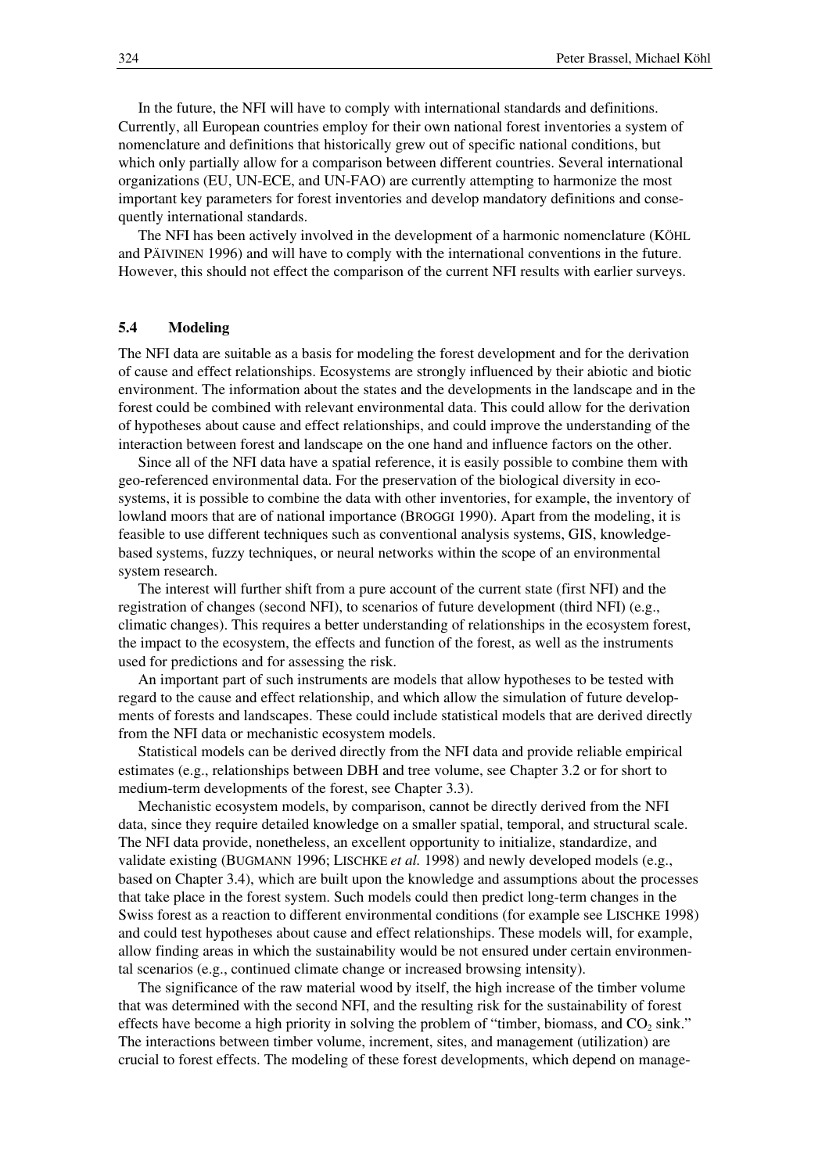In the future, the NFI will have to comply with international standards and definitions. Currently, all European countries employ for their own national forest inventories a system of nomenclature and definitions that historically grew out of specific national conditions, but which only partially allow for a comparison between different countries. Several international organizations (EU, UN-ECE, and UN-FAO) are currently attempting to harmonize the most important key parameters for forest inventories and develop mandatory definitions and consequently international standards.

The NFI has been actively involved in the development of a harmonic nomenclature (KÖHL and PÄIVINEN 1996) and will have to comply with the international conventions in the future. However, this should not effect the comparison of the current NFI results with earlier surveys.

#### **5.4 Modeling**

The NFI data are suitable as a basis for modeling the forest development and for the derivation of cause and effect relationships. Ecosystems are strongly influenced by their abiotic and biotic environment. The information about the states and the developments in the landscape and in the forest could be combined with relevant environmental data. This could allow for the derivation of hypotheses about cause and effect relationships, and could improve the understanding of the interaction between forest and landscape on the one hand and influence factors on the other.

Since all of the NFI data have a spatial reference, it is easily possible to combine them with geo-referenced environmental data. For the preservation of the biological diversity in ecosystems, it is possible to combine the data with other inventories, for example, the inventory of lowland moors that are of national importance (BROGGI 1990). Apart from the modeling, it is feasible to use different techniques such as conventional analysis systems, GIS, knowledgebased systems, fuzzy techniques, or neural networks within the scope of an environmental system research.

The interest will further shift from a pure account of the current state (first NFI) and the registration of changes (second NFI), to scenarios of future development (third NFI) (e.g., climatic changes). This requires a better understanding of relationships in the ecosystem forest, the impact to the ecosystem, the effects and function of the forest, as well as the instruments used for predictions and for assessing the risk.

An important part of such instruments are models that allow hypotheses to be tested with regard to the cause and effect relationship, and which allow the simulation of future developments of forests and landscapes. These could include statistical models that are derived directly from the NFI data or mechanistic ecosystem models.

Statistical models can be derived directly from the NFI data and provide reliable empirical estimates (e.g., relationships between DBH and tree volume, see Chapter 3.2 or for short to medium-term developments of the forest, see Chapter 3.3).

Mechanistic ecosystem models, by comparison, cannot be directly derived from the NFI data, since they require detailed knowledge on a smaller spatial, temporal, and structural scale. The NFI data provide, nonetheless, an excellent opportunity to initialize, standardize, and validate existing (BUGMANN 1996; LISCHKE *et al.* 1998) and newly developed models (e.g., based on Chapter 3.4), which are built upon the knowledge and assumptions about the processes that take place in the forest system. Such models could then predict long-term changes in the Swiss forest as a reaction to different environmental conditions (for example see LISCHKE 1998) and could test hypotheses about cause and effect relationships. These models will, for example, allow finding areas in which the sustainability would be not ensured under certain environmental scenarios (e.g., continued climate change or increased browsing intensity).

The significance of the raw material wood by itself, the high increase of the timber volume that was determined with the second NFI, and the resulting risk for the sustainability of forest effects have become a high priority in solving the problem of "timber, biomass, and CO<sub>2</sub> sink." The interactions between timber volume, increment, sites, and management (utilization) are crucial to forest effects. The modeling of these forest developments, which depend on manage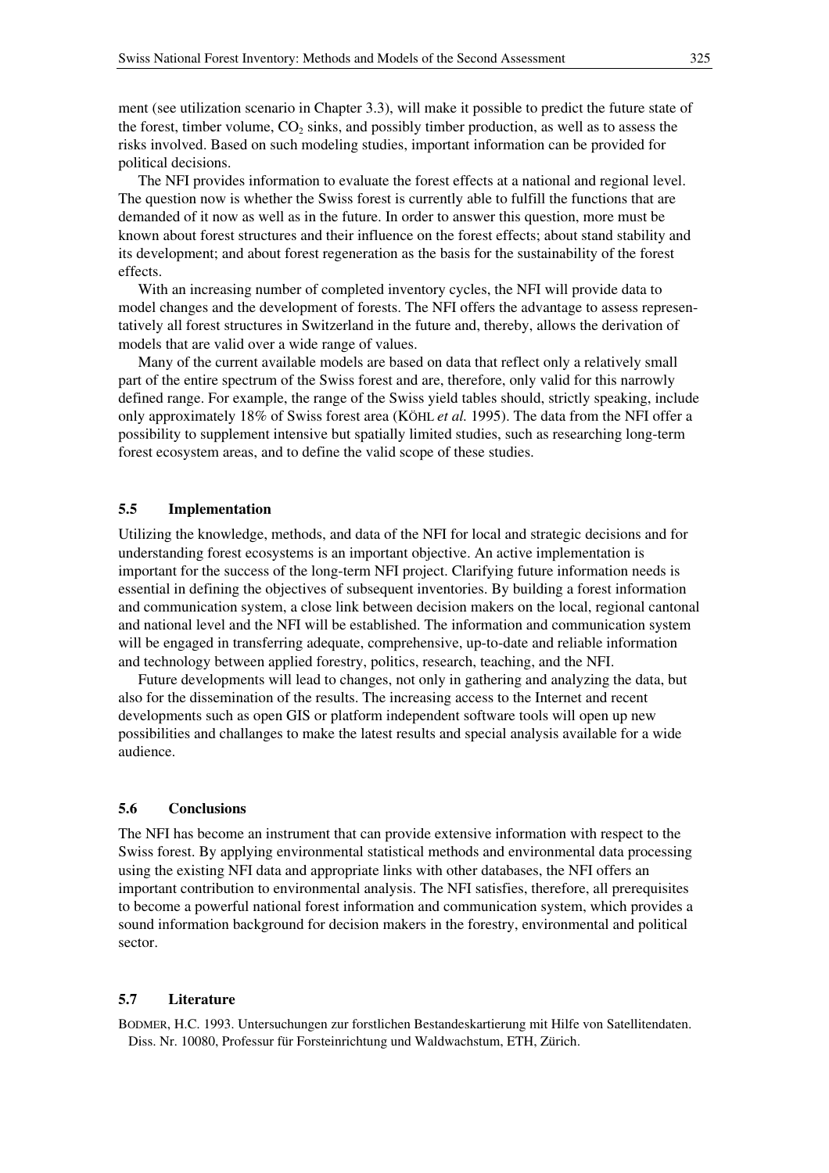ment (see utilization scenario in Chapter 3.3), will make it possible to predict the future state of the forest, timber volume,  $CO<sub>2</sub>$  sinks, and possibly timber production, as well as to assess the risks involved. Based on such modeling studies, important information can be provided for political decisions.

The NFI provides information to evaluate the forest effects at a national and regional level. The question now is whether the Swiss forest is currently able to fulfill the functions that are demanded of it now as well as in the future. In order to answer this question, more must be known about forest structures and their influence on the forest effects; about stand stability and its development; and about forest regeneration as the basis for the sustainability of the forest effects.

With an increasing number of completed inventory cycles, the NFI will provide data to model changes and the development of forests. The NFI offers the advantage to assess representatively all forest structures in Switzerland in the future and, thereby, allows the derivation of models that are valid over a wide range of values.

Many of the current available models are based on data that reflect only a relatively small part of the entire spectrum of the Swiss forest and are, therefore, only valid for this narrowly defined range. For example, the range of the Swiss yield tables should, strictly speaking, include only approximately 18% of Swiss forest area (KÖHL *et al.* 1995). The data from the NFI offer a possibility to supplement intensive but spatially limited studies, such as researching long-term forest ecosystem areas, and to define the valid scope of these studies.

### **5.5 Implementation**

Utilizing the knowledge, methods, and data of the NFI for local and strategic decisions and for understanding forest ecosystems is an important objective. An active implementation is important for the success of the long-term NFI project. Clarifying future information needs is essential in defining the objectives of subsequent inventories. By building a forest information and communication system, a close link between decision makers on the local, regional cantonal and national level and the NFI will be established. The information and communication system will be engaged in transferring adequate, comprehensive, up-to-date and reliable information and technology between applied forestry, politics, research, teaching, and the NFI.

Future developments will lead to changes, not only in gathering and analyzing the data, but also for the dissemination of the results. The increasing access to the Internet and recent developments such as open GIS or platform independent software tools will open up new possibilities and challanges to make the latest results and special analysis available for a wide audience.

#### **5.6 Conclusions**

The NFI has become an instrument that can provide extensive information with respect to the Swiss forest. By applying environmental statistical methods and environmental data processing using the existing NFI data and appropriate links with other databases, the NFI offers an important contribution to environmental analysis. The NFI satisfies, therefore, all prerequisites to become a powerful national forest information and communication system, which provides a sound information background for decision makers in the forestry, environmental and political sector.

## **5.7 Literature**

BODMER, H.C. 1993. Untersuchungen zur forstlichen Bestandeskartierung mit Hilfe von Satellitendaten. Diss. Nr. 10080, Professur für Forsteinrichtung und Waldwachstum, ETH, Zürich.